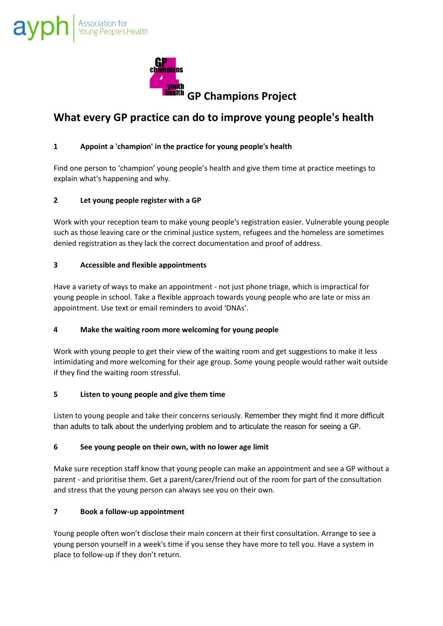

# **What every GP practice can do to improve young people's health**

# **1 Appoint a 'champion' in the practice for young people's health**

Find one person to 'champion' young people's health and give them time at practice meetings to explain what's happening and why.

## **2 Let young people register with a GP**

Work with your reception team to make young people's registration easier. Vulnerable young people such as those leaving care or the criminal justice system, refugees and the homeless are sometimes denied registration as they lack the correct documentation and proof of address.

## **3 Accessible and flexible appointments**

Have a variety of ways to make an appointment - not just phone triage, which is impractical for young people in school. Take a flexible approach towards young people who are late or miss an appointment. Use text or email reminders to avoid 'DNAs'.

#### **4 Make the waiting room more welcoming for young people**

Work with young people to get their view of the waiting room and get suggestions to make it less intimidating and more welcoming for their age group. Some young people would rather wait outside if they find the waiting room stressful.

#### **5 Listen to young people and give them time**

Listen to young people and take their concerns seriously. Remember they might find it more difficult than adults to talk about the underlying problem and to articulate the reason for seeing a GP.

#### **6 See young people on their own, with no lower age limit**

Make sure reception staff know that young people can make an appointment and see a GP without a parent - and prioritise them. Get a parent/carer/friend out of the room for part of the consultation and stress that the young person can always see you on their own.

#### **7 Book a follow-up appointment**

Young people often won't disclose their main concern at their first consultation. Arrange to see a young person yourself in a week's time if you sense they have more to tell you. Have a system in place to follow-up if they don't return.